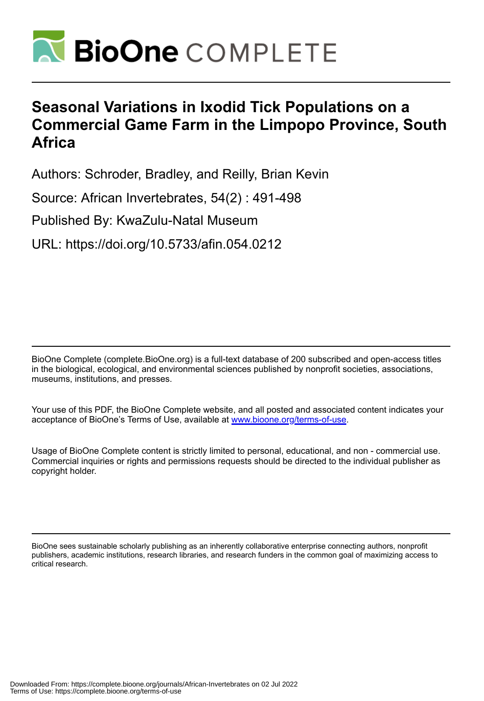

# **Seasonal Variations in Ixodid Tick Populations on a Commercial Game Farm in the Limpopo Province, South Africa**

Authors: Schroder, Bradley, and Reilly, Brian Kevin

Source: African Invertebrates, 54(2) : 491-498

Published By: KwaZulu-Natal Museum

URL: https://doi.org/10.5733/afin.054.0212

BioOne Complete (complete.BioOne.org) is a full-text database of 200 subscribed and open-access titles in the biological, ecological, and environmental sciences published by nonprofit societies, associations, museums, institutions, and presses.

Your use of this PDF, the BioOne Complete website, and all posted and associated content indicates your acceptance of BioOne's Terms of Use, available at www.bioone.org/terms-of-use.

Usage of BioOne Complete content is strictly limited to personal, educational, and non - commercial use. Commercial inquiries or rights and permissions requests should be directed to the individual publisher as copyright holder.

BioOne sees sustainable scholarly publishing as an inherently collaborative enterprise connecting authors, nonprofit publishers, academic institutions, research libraries, and research funders in the common goal of maximizing access to critical research.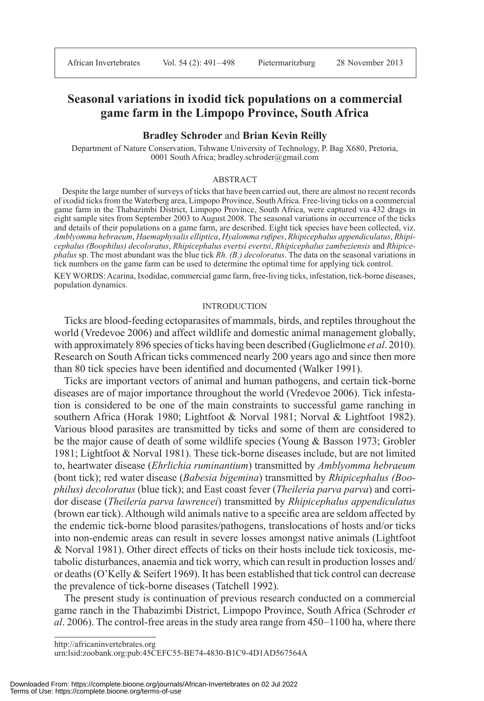African Invertebrates Vol. 54 (2): 491–498 Pietermaritzburg 28 November 2013

# **Seasonal variations in ixodid tick populations on a commercial game farm in the Limpopo Province, South Africa**

#### **Bradley Schroder** and **Brian Kevin Reilly**

Department of Nature Conservation, Tshwane University of Technology, P. Bag X680, Pretoria, 0001 South Africa; bradley.schroder@gmail.com

#### ABSTRACT

Despite the large number of surveys of ticks that have been carried out, there are almost no recent records of ixo did ticks from the Waterberg area, Limpopo Province, South Africa. Free-living ticks on a com mercial game farm in the Thabazimbi District, Limpopo Province, South Africa, were captured via 432 drags in eight sample sites from September 2003 to August 2008. The seasonal variations in oc currence of the ticks and details of their populations on a game farm, are described. Eight tick species have been collected, viz. *Amblyomma hebraeum*, *Haemaphysalis elliptica*, *Hyalomma rufipes*, *Rhipicephalus appendiculatus*, *Rhipicephalus (Boo phi lus) decoloratus*, *Rhipicephalus evertsi evertsi*, *Rhi pi cephalus zambeziensis* and *Rhipi cephalus* sp. The most abundant was the blue tick *Rh. (B.) decoloratus*. The data on the seasonal variations in tick num bers on the game farm can be used to determine the optimal time for applying tick control.

KEY WORDS: Acarina, Ixodidae, commercial game farm, free-living ticks, infestation, tick-borne diseases, population dynamics.

#### **INTRODUCTION**

Ticks are blood-feeding ectoparasites of mammals, birds, and reptiles throughout the world (Vredevoe 2006) and affect wildlife and domestic animal management globally, with approximately 896 species of ticks having been described (Guglielmone *et al*. 2010). Research on South African ticks commenced nearly 200 years ago and since then more than 80 tick species have been identified and documented (Walker 1991).

Ticks are important vectors of animal and human pathogens, and certain tick-borne diseases are of major importance throughout the world (Vredevoe 2006). Tick infestation is considered to be one of the main constraints to successful game ranching in southern Africa (Horak 1980; Lightfoot & Norval 1981; Norval & Lightfoot 1982). Various blood parasites are transmitted by ticks and some of them are considered to be the major cause of death of some wildlife species (Young  $\&$  Basson 1973; Grobler 1981; Light foot & Norval 1981). These tick-borne diseases include, but are not limited to, heart water di sease (*Ehrlichia ruminantium*) transmitted by *Amblyomma hebraeum* (bont tick); red water disease (*Babesia bigemina*) transmitted by *Rhipicephalus (Boophilus) decoloratus* (blue tick); and East coast fever (*Theileria parva parva*) and corridor disease (*Theileria parva lawrencei*) transmitted by *Rhipicephalus ap pendiculatus* (brown ear tick). Although wild animals native to a specific area are seldom affected by the endemic tick-borne blood parasites/pathogens, trans locations of hosts and/or ticks into non-endemic areas can result in severe losses amongst native animals (Lightfoot & Norval 1981). Other direct effects of ticks on their hosts include tick toxicosis, metabolic disturbances, anaemia and tick worry, which can result in production losses and/ or deaths (O'Kelly & Seifert 1969). It has been established that tick control can decrease the prevalence of tick-borne diseases (Tatchell 1992).

The present study is continuation of previous research conducted on a commercial game ranch in the Thabazimbi District, Limpopo Province, South Africa (Schroder *et al*. 2006). The control-free areas in the study area range from 450–1100 ha, where there

Downloaded From: https://complete.bioone.org/journals/African-Invertebrates on 02 Jul 2022 Terms of Use: https://complete.bioone.org/terms-of-use

http://africaninvertebrates.org

http://africaninvertebrates.org<br>urn:lsid:zoobank.org:pub:45CEFC55-BE74-4830-B1C9-4D1AD567564A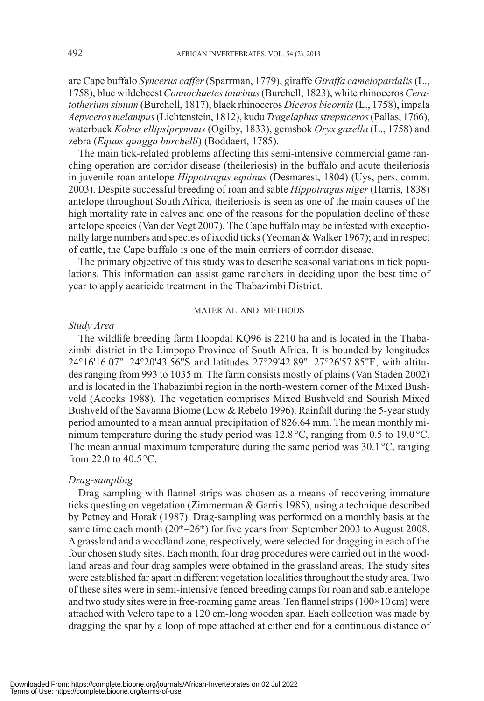are Cape buffalo *Syncerus caffer* (Sparrman, 1779), giraffe *Giraffa camelopardalis* (L., 1758), blue wildebeest *Connochaetes taurinus* (Burchell, 1823), white rhinoceros *Ceratotherium simum* (Burchell, 1817), black rhinoceros *Diceros bicornis* (L., 1758), impala *Aepyceros melampus* (Lichtenstein, 1812), kudu *Tragelaphus strepsiceros* (Pal las, 1766), waterbuck *Kobus ellipsiprymnus* (Ogilby, 1833), gemsbok *Oryx gazella* (L., 1758) and zebra (*Equus quagga burchelli*) (Boddaert, 1785).

The main tick-related problems affecting this semi-intensive commercial game ranching operation are corridor disease (theileriosis) in the buffalo and acute theileriosis in juvenile roan antelope *Hippotragus equinus* (Desmarest, 1804) (Uys, pers. comm. 2003). Despite successful breeding of roan and sable *Hippotragus niger* (Harris, 1838) antelope throughout South Africa, theileriosis is seen as one of the main causes of the high mortality rate in calves and one of the reasons for the population decline of these antelope species (Van der Vegt 2007). The Cape buffalo may be infested with exceptionally large numbers and species of ixodid ticks (Yeoman  $&$  Walker 1967); and in respect of cattle, the Cape buffalo is one of the main carriers of corridor disease.

The primary objective of this study was to describe seasonal variations in tick populations. This information can assist game ranchers in deciding upon the best time of year to apply acaricide treatment in the Thabazimbi District.

#### MATERIAL AND METHODS

### *Study Area*

The wildlife breeding farm Hoopdal KQ96 is 2210 ha and is located in the Thabazim bi district in the Limpopo Province of South Africa. It is bounded by longitudes 24°16'16.07"–24°20'43.56"S and latitudes 27°29'42.89"–27°26'57.85"E, with altitudes ranging from 993 to 1035 m. The farm consists mostly of plains (Van Staden 2002) and is located in the Thabazimbi region in the north-western corner of the Mixed Bushveld (Acocks 1988). The vegetation comprises Mixed Bushveld and Sourish Mixed Bushveld of the Savanna Biome (Low & Rebelo 1996). Rainfall during the 5-year study period amounted to a mean annual precipitation of 826.64 mm. The mean monthly minimum temperature during the study period was  $12.8^{\circ}$ C, ranging from 0.5 to 19.0 °C. The mean annual maximum temperature during the same period was 30.1 °C, ranging from 22.0 to  $40.5^{\circ}$ C.

# *Drag-sampling*

Drag-sampling with flannel strips was chosen as a means of recovering immature ticks questing on vegetation (Zimmerman & Garris 1985), using a technique described by Petney and Horak (1987). Drag-sampling was performed on a monthly basis at the same time each month  $(20<sup>th</sup>-26<sup>th</sup>)$  for five years from September 2003 to August 2008. A grassland and a woodland zone, respectively, were selected for dragging in each of the four chosen study sites. Each month, four drag procedures were carried out in the woodland areas and four drag samples were obtained in the grassland areas. The study sites were established far apart in different vegetation localities throughout the study area. Two of these sites were in semi-intensive fenced breeding camps for roan and sable antelope and two study sites were in free-roaming game areas. Ten flannel strips  $(100\times10 \text{ cm})$  were attached with Velcro tape to a 120 cm-long wooden spar. Each col lection was made by dragging the spar by a loop of rope attached at either end for a continuous distance of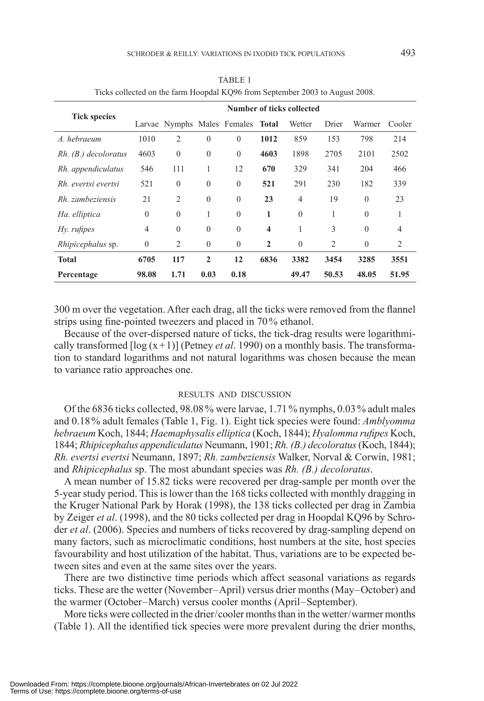| <b>Tick species</b>        | Number of ticks collected |                  |                |                                   |                         |          |                |                |                |
|----------------------------|---------------------------|------------------|----------------|-----------------------------------|-------------------------|----------|----------------|----------------|----------------|
|                            |                           |                  |                | Larvae Nymphs Males Females Total |                         | Wetter   | Drier          | Warmer         | Cooler         |
| A. hebraeum                | 1010                      | $\overline{2}$   | $\theta$       | $\Omega$                          | 1012                    | 859      | 153            | 798            | 214            |
| $Rh.$ ( $B.$ ) decoloratus | 4603                      | $\boldsymbol{0}$ | $\theta$       | $\mathbf{0}$                      | 4603                    | 1898     | 2705           | 2101           | 2502           |
| Rh. appendiculatus         | 546                       | 111              | 1              | 12                                | 670                     | 329      | 341            | 204            | 466            |
| Rh. evertsi evertsi        | 521                       | $\theta$         | $\theta$       | $\theta$                          | 521                     | 291      | 230            | 182            | 339            |
| Rh. zambeziensis           | 21                        | $\overline{2}$   | $\mathbf{0}$   | $\Omega$                          | 23                      | 4        | 19             | $\theta$       | 23             |
| Ha. elliptica              | $\theta$                  | $\theta$         | 1              | $\Omega$                          | 1                       | $\Omega$ | 1              | $\theta$       | 1              |
| Hy. rufipes                | $\overline{4}$            | $\theta$         | $\theta$       | $\Omega$                          | $\overline{\mathbf{4}}$ | 1        | 3              | $\theta$       | $\overline{4}$ |
| Rhipicephalus sp.          | $\mathbf{0}$              | $\overline{2}$   | $\mathbf{0}$   | $\theta$                          | $\overline{2}$          | $\theta$ | $\overline{2}$ | $\overline{0}$ | $\overline{2}$ |
| <b>Total</b>               | 6705                      | 117              | $\overline{2}$ | 12                                | 6836                    | 3382     | 3454           | 3285           | 3551           |
| Percentage                 | 98.08                     | 1.71             | 0.03           | 0.18                              |                         | 49.47    | 50.53          | 48.05          | 51.95          |

TABLE 1 Ticks collected on the farm Hoopdal KQ96 from September 2003 to August 2008.

300 m over the vegetation. After each drag, all the ticks were removed from the flannel strips using fine-pointed tweezers and placed in 70 % ethanol.

Because of the over-dispersed nature of ticks, the tick-drag results were logarithmically transformed  $\lceil \log(x+1) \rceil$  (Petney *et al.* 1990) on a monthly basis. The transformation to standard logarithms and not natural logarithms was chosen because the mean to variance ratio approaches one.

#### RESULTS AND DISCUSSION

Of the 6836 ticks collected, 98.08 % were larvae, 1.71 % nymphs, 0.03 % adult males and 0.18 % adult females (Table 1, Fig. 1). Eight tick species were found: *Amblyomma hebraeum* Koch, 1844; *Haemaphysalis elliptica* (Koch, 1844); *Hyalomma rufipes* Koch, 1844; *Rhi picepha lus appendiculatus* Neumann, 1901; *Rh. (B.) decoloratus* (Koch, 1844); *Rh. evertsi evertsi* Neumann, 1897; *Rh. zambeziensis* Walker, Nor val & Corwin, 1981; and *Rhipicephalus* sp. The most abundant species was *Rh. (B.) decoloratus*.

A mean number of 15.82 ticks were recovered per drag-sample per month over the 5-year study period. This is lower than the 168 ticks collected with monthly dragging in the Kruger National Park by Horak (1998), the 138 ticks collected per drag in Zambia by Zeiger *et al*. (1998), and the 80 ticks collected per drag in Hoopdal KQ96 by Schroder *et al.* (2006). Species and numbers of ticks recovered by drag-sampling depend on many factors, such as microclimatic conditions, host numbers at the site, host species favourability and host utilization of the habitat. Thus, variations are to be expected between sites and even at the same sites over the years.

There are two distinctive time periods which affect seasonal variations as regards ticks. These are the wetter (November–April) versus drier months (May–October) and the warmer (October–March) versus cooler months (April–September).

More ticks were collected in the drier/cooler months than in the wetter/warmer months (Table 1). All the identified tick species were more prevalent during the drier months,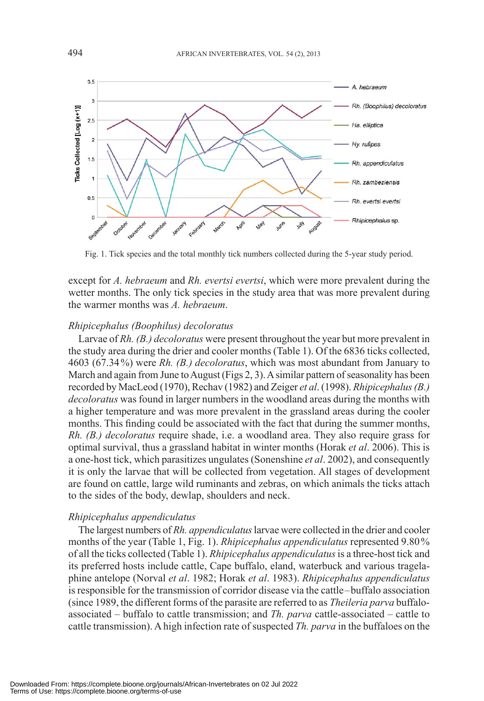

Fig. 1. Tick species and the total monthly tick numbers collected during the 5-year study period.

except for *A. hebraeum* and *Rh. evertsi evertsi*, which were more prevalent during the wetter months. The only tick species in the study area that was more prevalent during the warmer months was *A. hebraeum*.

#### *Rhipicephalus (Boophilus) decoloratus*

Larvae of *Rh. (B.) decoloratus* were present throughout the year but more prevalent in the study area during the drier and cooler months (Table 1). Of the 6836 ticks collected, 4603 (67.34 %) were *Rh. (B.) decoloratus*, which was most abundant from January to March and again from June to August (Figs 2, 3). A similar pattern of seasonality has been recorded by MacLeod (1970), Rechav (1982) and Zeiger *et al*. (1998). *Rhipicephalus (B.) de coloratus* was found in larger numbers in the woodland areas during the months with a higher temperature and was more prevalent in the grassland areas during the cooler months. This finding could be associated with the fact that during the summer months, *Rh. (B.) decoloratus* require shade, i.e. a woodland area. They also require grass for op timal survival, thus a grassland habitat in winter months (Horak *et al*. 2006). This is a one-host tick, which parasitizes ungulates (Sonenshine *et al*. 2002), and consequently it is only the larvae that will be collected from vegetation. All stages of development are found on cattle, large wild ruminants and zebras, on which animals the ticks attach to the sides of the body, dewlap, shoulders and neck.

#### *Rhipicephalus appendiculatus*

The largest numbers of *Rh. appendiculatus* larvae were collected in the drier and cooler months of the year (Table 1, Fig. 1). *Rhipicephalus appendiculatus* represented 9.80% of all the ticks collected (Table 1). *Rhipicephalus appendiculatus* is a three-host tick and its preferred hosts include cattle, Cape buffalo, eland, waterbuck and various tragelaphine antelope (Norval *et al*. 1982; Horak *et al*. 1983). *Rhipicephalus appendiculatus* is re sponsible for the transmission of corridor disease via the cattle–buffalo association (since 1989, the different forms of the parasite are referred to as *Theileria parva* buffaloassociated – buffalo to cattle transmission; and *Th. parva* cattle-associated – cattle to cattle transmission). A high infection rate of suspected *Th. parva* in the buffaloes on the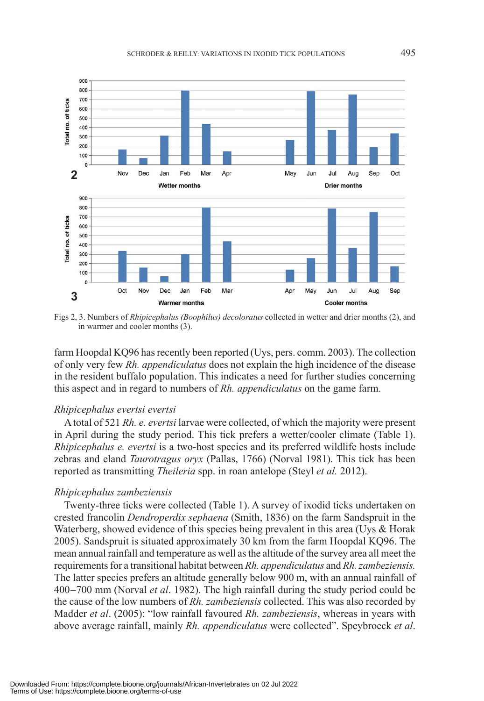

Figs 2, 3. Numbers of *Rhipicephalus (Boophilus) decoloratus* collected in wetter and drier months (2), and in warmer and cooler months (3).

farm Hoopdal KQ96 has recently been reported (Uys, pers. comm. 2003). The collection of only very few *Rh. appendiculatus* does not explain the high incidence of the disease in the resident buffalo population. This indicates a need for further studies concerning this aspect and in regard to numbers of *Rh. appendiculatus* on the game farm.

# *Rhipicephalus evertsi evertsi*

A total of 521 *Rh. e. evertsi* larvae were collected, of which the majority were present in April during the study period. This tick prefers a wetter/cooler climate (Table 1). *Rhipicephalus e. evertsi* is a two-host species and its preferred wildlife hosts include zebras and eland *Taurotragus oryx* (Pallas, 1766) (Norval 1981). This tick has been reported as transmitting *Theileria* spp. in roan antelope (Steyl *et al.* 2012).

#### *Rhipicephalus zambeziensis*

Twenty-three ticks were collected (Table 1). A survey of ixodid ticks undertaken on crested francolin *Dendroperdix sephaena* (Smith, 1836) on the farm Sandspruit in the Waterberg, showed evidence of this species being prevalent in this area (Uys & Horak 2005). Sandspruit is situated approximately 30 km from the farm Hoopdal KQ96. The mean annual rainfall and temperature as well as the altitude of the survey area all meet the requirements for a transitional habitat between *Rh. appendiculatus* and *Rh. zambeziensis.* The latter species prefers an altitude generally below 900 m, with an annual rainfall of 400–700 mm (Norval *et al*. 1982). The high rainfall during the study period could be the cause of the low numbers of *Rh. zambeziensis* collected. This was also recorded by Madder *et al*. (2005): "low rainfall favoured *Rh. zambeziensis*, whereas in years with above average rainfall, mainly *Rh. appendiculatus* were collected". Speybroeck *et al*.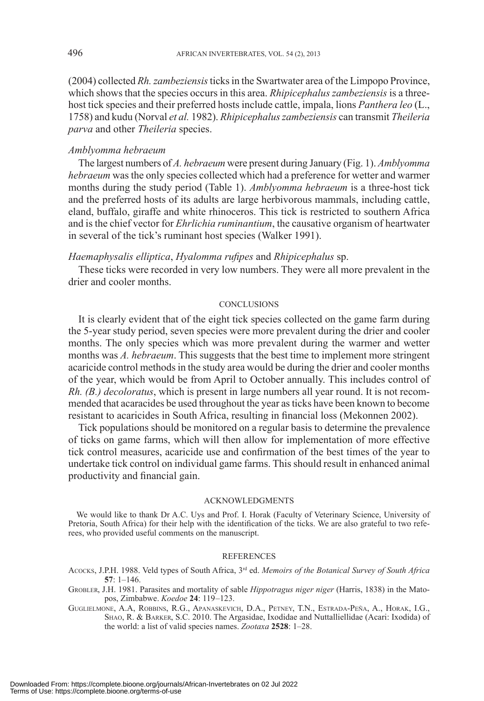(2004) collected *Rh. zambeziensis* ticks in the Swartwater area of the Limpopo Province, which shows that the species occurs in this area. *Rhipicephalus zambeziensis* is a threehost tick species and their preferred hosts include cattle, impala, lions *Panthera leo* (L., 1758) and kudu (Norval *et al.* 1982). *Rhipicephalus zambeziensis* can transmit *Theile ria parva* and other *Theileria* species.

#### *Amblyomma hebraeum*

The largest numbers of *A. hebraeum* were present during January (Fig. 1). *Amblyomma hebraeum* was the only species collected which had a preference for wetter and warmer months during the study period (Table 1). *Amblyomma hebraeum* is a three-host tick and the preferred hosts of its adults are large herbivorous mammals, including cattle, eland, buffalo, giraffe and white rhinoceros. This tick is restricted to southern Africa and is the chief vector for *Ehrlichia ruminantium*, the causative organism of heartwater in several of the tick's ruminant host species (Walker 1991).

# *Haemaphysalis elliptica*, *Hyalomma rufipes* and *Rhipicephalus* sp.

These ticks were recorded in very low numbers. They were all more prevalent in the drier and cooler months.

#### **CONCLUSIONS**

It is clearly evident that of the eight tick species collected on the game farm during the 5-year study period, seven species were more prevalent during the drier and cooler months. The only species which was more prevalent during the warmer and wetter months was *A. hebraeum*. This suggests that the best time to implement more stringent acaricide control methods in the study area would be during the drier and cooler months of the year, which would be from April to October annually. This includes control of *Rh. (B.) decoloratus*, which is present in large numbers all year round. It is not recommended that acaracides be used throughout the year as ticks have been known to become resistant to acaricides in South Africa, resulting in financial loss (Mekonnen 2002).

Tick populations should be monitored on a regular basis to determine the prevalence of ticks on game farms, which will then allow for implementation of more effective tick control measures, acaricide use and confirmation of the best times of the year to undertake tick control on individual game farms. This should result in enhanced animal productivity and financial gain.

#### ACKNOWLEDGMENTS

We would like to thank Dr A.C. Uys and Prof. I. Horak (Faculty of Veterinary Science, University of Pretoria, South Africa) for their help with the identification of the ticks. We are also grateful to two referees, who provided useful comments on the manuscript.

#### REFERENCES

ACOCKS, J.P.H. 1988. Veld types of South Africa, 3rd ed. *Memoirs of the Botanical Survey of South Africa* **57**: 1–146.

GROBLER, J.H. 1981. Parasites and mortality of sable *Hippotragus niger niger* (Harris, 1838) in the Matopos, Zimbabwe. *Koedoe* **24**: 119–123.

GUGLIELMONE, A.A, ROBBINS, R.G., APANASKEVICH, D.A., PETNEY, T.N., ESTRADA-PEÑA, A., HORAK, I.G., SHAO, R. & BARKER, S.C. 2010. The Argasidae, Ixodidae and Nuttalliellidae (Acari: Ixodida) of the world: a list of valid species names. *Zootaxa* **2528**: 1–28.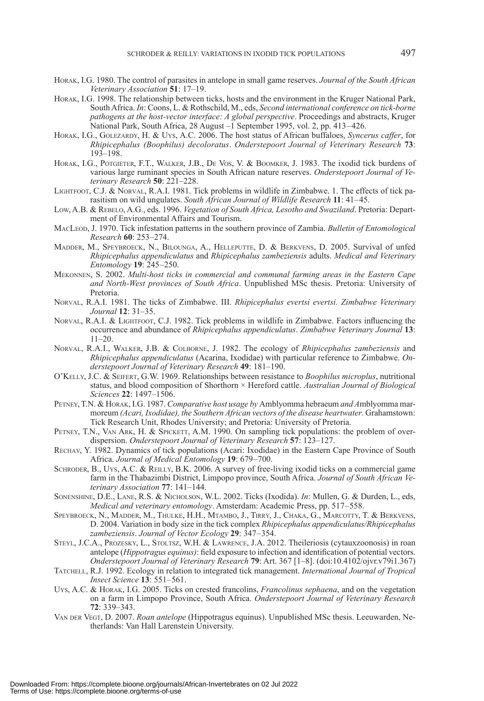- HORAK, I.G. 1980. The control of parasites in antelope in small game reserves. *Journal of the South African Veterinary Association* **51**: 17–19.
- HORAK, I.G. 1998. The relationship between ticks, hosts and the environment in the Kruger National Park, South Africa. *In*: Coons, L. & Rothschild, M., eds, *Second international conference on tick-borne pathogens at the host-vector interface: A global perspective*. Proceedings and abstracts, Kruger National Park, South Africa, 28 August –1 September 1995, vol. 2, pp. 413–426.
- HORAK, I.G., GOLEZARDY, H. & UYS, A.C. 2006. The host status of African buffaloes, *Syncerus caffer*, for *Rhipicephalus (Boophilus) decoloratus*. *Onderstepoort Journal of Veterinary Research* **73**: 193–198.
- HORAK, I.G., POTGIETER, F.T., WALKER, J.B., DE VOS, V. & BOOMKER, J. 1983. The ixodid tick burdens of various large ruminant species in South African nature reserves. *Onderstepoort Journal of Veterinary Research* **50**: 221–228.
- LIGHTFOOT, C.J. & NORVAL, R.A.I. 1981. Tick problems in wildlife in Zimbabwe. 1. The effects of tick parasitism on wild ungulates. *South African Journal of Wildlife Research* **11**: 41–45.
- Low, A.B. & REBELO, A.G., eds. 1996. *Vegetation of South Africa, Lesotho and Swaziland*. Pretoria: Department of Environmental Affairs and Tourism.
- MACLEOD, J. 1970. Tick infestation patterns in the southern province of Zambia. *Bulletin of Entomological Research* **60**: 253–274.
- MADDER, M., SPEYBROECK, N., BILOUNGA, A., HELLEPUTTE, D. & BERKVENS, D. 2005. Survival of unfed *Rhipicephalus appendiculatus* and *Rhipicephalus zambeziensis* adults. *Medical and Veterinary Entomology* **19**: 245–250.
- MEKONNEN, S. 2002. *Multi-host ticks in commercial and communal farming areas in the Eastern Cape and North-West provinces of South Africa*. Unpublished MSc thesis. Pretoria: University of Pretoria.
- NORVAL, R.A.I. 1981. The ticks of Zimbabwe. III. *Rhipicephalus evertsi evertsi. Zimbabwe Veterinary Jour nal* **12**: 31–35.
- NORVAL, R.A.I. & LIGHTFOOT, C.J. 1982. Tick problems in wildlife in Zimbabwe. Factors influencing the occurrence and abundance of *Rhipicephalus appendiculatus*. *Zimbabwe Veterinary Journal* **13**: 11–20.
- NORVAL, R.A.I., WALKER, J.B. & COLBORNE, J. 1982. The ecology of *Rhipicephalus zambeziensis* and *Rhi picephalus appendiculatus* (Acarina, Ixodidae) with particular reference to Zimbabwe. *Onderstepoort Journal of Veterinary Research* **49**: 181–190.
- O'KELLY, J.C. & SEIFERT, G.W. 1969. Relationships between resistance to *Boophilus microplus*, nutritional status, and blood composition of Shorthorn × Hereford cattle. *Australian Journal of Biological Scien ces* **22**: 1497–1506.
- PETNEY, T.N. & HORAK, I.G. 1987. *Comparative host usage by* Amblyomma hebraeum *and A*mblyomma marmoreum *(Acari, Ixodidae), the Southern African vectors of the disease heartwater*. Grahamstown: Tick Research Unit, Rhodes University; and Pretoria: University of Pretoria.
- PETNEY, T.N., VAN ARK, H. & SPICKETT, A.M. 1990. On sampling tick populations: the problem of overdispersion. *Onderstepoort Journal of Veterinary Research* **57**: 123–127.
- RECHAV, Y. 1982. Dynamics of tick populations (Acari: Ixodidae) in the Eastern Cape Province of South Africa. *Journal of Medical Entomology* **19**: 679–700.
- SCHRODER, B., UYS, A.C. & REILLY, B.K. 2006. A survey of free-living ixodid ticks on a commercial game farm in the Thabazimbi District, Limpopo province, South Africa. *Journal of South African Veterinary Association* **77**: 141–144.
- SONENSHINE, D.E., LANE, R.S. & NICHOLSON, W.L. 2002. Ticks (Ixodida). *In*: Mullen, G. & Durden, L., eds, *Medical and veterinary entomology*. Amsterdam: Academic Press, pp. 517–558.
- SPEYBROECK, N., MADDER, M., THULKE, H.H., MTAMBO, J., TIRRY, J., CHAKA, G., MARCOTTY, T. & BERKVENS, D. 2004. Variation in body size in the tick complex *Rhipicephalus appendiculatus/Rhipicephalus zambeziensis*. *Journal of Vector Ecology* **29**: 347–354.
- STEYL, J.C.A., PROZESKY, L., STOLTSZ, W.H. & LAWRENCE, J.A. 2012. Theileriosis (cytauxzoonosis) in roan antelope (*Hippotragus equinus*): field exposure to infection and identification of potential vectors. *Onderstepoort Journal of Veterinary Research* **79**: Art. 367 [1–8]. (doi:10.4102/ojvr.v79i1.367)
- TATCHELL, R.J. 1992. Ecology in relation to integrated tick management. *International Journal of Tropical Insect Science* **13**: 551–561.
- UYS, A.C. & HORAK, I.G. 2005. Ticks on crested francolins, *Francolinus sephaena*, and on the vegetation on a farm in Limpopo Province, South Africa. *Onderstepoort Journal of Veterinary Research* **72**: 339–343.
- VAN DER VEGT, D. 2007. *Roan antelope* (Hippotragus equinus). Unpublished MSc thesis. Leeuwarden, Netherlands: Van Hall Larenstein University.